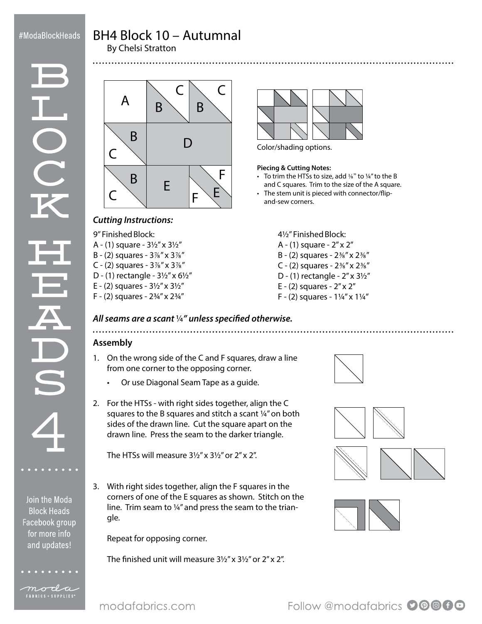# BH4 Block 10 – Autumnal By Chelsi Stratton

OO

Join the Moda **Block Heads** Facebook group for more info and updates!

moda FABRICS + SUPPLIES<sup>®</sup>

 $A \mid B \mid B$ B B  $C \setminus C$  $\subset$  $\subset$ D E F E F



Color/shading options.

#### **Piecing & Cutting Notes:**

- To trim the HTSs to size, add  $\frac{1}{8}$ " to  $\frac{1}{4}$ " to the B and C squares. Trim to the size of the A square.
- The stem unit is pieced with connector/flipand-sew corners.

### *Cutting Instructions:*

9" Finished Block:

- A (1) square 3½" x 3½"
- B (2) squares 3⅞" x 3⅞"
- C (2) squares  $3\%$ " x  $3\%$ "
- D (1) rectangle 3½" x 6½"
- E (2) squares 3½" x 3½"
- F (2) squares 2¾" x 2¾"
- 4½" Finished Block:
- A (1) square 2" x 2" B - (2) squares - 2⅜" x 2⅜"
- C (2) squares  $2\frac{3}{8}$ " x  $2\frac{3}{8}$ "
- D (1) rectangle 2" x 3½"
- E (2) squares 2" x 2"
- F (2) squares 1¼" x 1¼"

# *All seams are a scant* ¼*" unless specified otherwise.*

# **Assembly**

- 1. On the wrong side of the C and F squares, draw a line from one corner to the opposing corner.
	- Or use Diagonal Seam Tape as a guide.
- 2. For the HTSs with right sides together, align the C squares to the B squares and stitch a scant ¼" on both sides of the drawn line. Cut the square apart on the drawn line. Press the seam to the darker triangle.

The HTSs will measure 3½" x 3½" or 2" x 2".

3. With right sides together, align the F squares in the corners of one of the E squares as shown. Stitch on the line. Trim seam to ¼" and press the seam to the triangle.

Repeat for opposing corner.

The finished unit will measure 3½" x 3½" or 2" x 2".







Follow @modafabrics **90000**